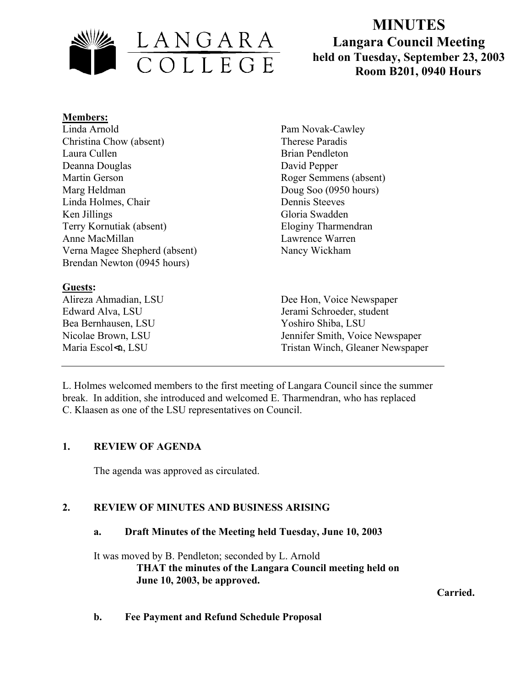

# **MINUTES Langara Council Meeting held on Tuesday, September 23, 2003**  LANGARA<br>
COLLEGE held on Tuesday, September 23, 2<br>
Room B201, 0940 Hours

#### **Members:**

Linda Arnold Christina Chow (absent) Laura Cullen Deanna Douglas Martin Gerson Marg Heldman Linda Holmes, Chair Ken Jillings Terry Kornutiak (absent) Anne MacMillan Verna Magee Shepherd (absent) Brendan Newton (0945 hours)

## **Guests:**

Bea Bernhausen, LSU Yoshiro Shiba, LSU

Pam Novak-Cawley Therese Paradis Brian Pendleton David Pepper Roger Semmens (absent) Doug Soo (0950 hours) Dennis Steeves Gloria Swadden Eloginy Tharmendran Lawrence Warren Nancy Wickham

Alireza Ahmadian, LSU Dee Hon, Voice Newspaper Edward Alva, LSU Jerami Schroeder, student Nicolae Brown, LSU Jennifer Smith, Voice Newspaper Maria Escol<n, LSU Tristan Winch, Gleaner Newspaper

L. Holmes welcomed members to the first meeting of Langara Council since the summer break. In addition, she introduced and welcomed E. Tharmendran, who has replaced C. Klaasen as one of the LSU representatives on Council.

## **1. REVIEW OF AGENDA**

The agenda was approved as circulated.

## **2. REVIEW OF MINUTES AND BUSINESS ARISING**

#### **a. Draft Minutes of the Meeting held Tuesday, June 10, 2003**

It was moved by B. Pendleton; seconded by L. Arnold

**THAT the minutes of the Langara Council meeting held on June 10, 2003, be approved.** 

**Carried.**

**b. Fee Payment and Refund Schedule Proposal**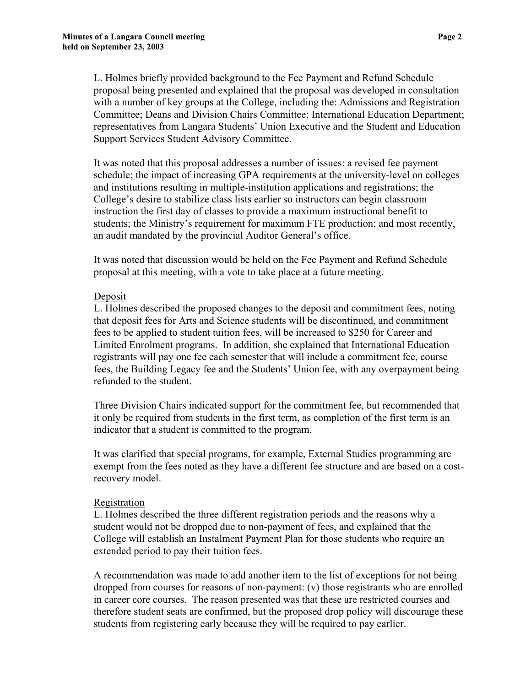L. Holmes briefly provided background to the Fee Payment and Refund Schedule proposal being presented and explained that the proposal was developed in consultation with a number of key groups at the College, including the: Admissions and Registration Committee; Deans and Division Chairs Committee; International Education Department; representatives from Langara Students' Union Executive and the Student and Education Support Services Student Advisory Committee.

It was noted that this proposal addresses a number of issues: a revised fee payment schedule; the impact of increasing GPA requirements at the university-level on colleges and institutions resulting in multiple-institution applications and registrations; the College's desire to stabilize class lists earlier so instructors can begin classroom instruction the first day of classes to provide a maximum instructional benefit to students; the Ministry's requirement for maximum FTE production; and most recently, an audit mandated by the provincial Auditor General's office.

It was noted that discussion would be held on the Fee Payment and Refund Schedule proposal at this meeting, with a vote to take place at a future meeting.

#### Deposit

L. Holmes described the proposed changes to the deposit and commitment fees, noting that deposit fees for Arts and Science students will be discontinued, and commitment fees to be applied to student tuition fees, will be increased to \$250 for Career and Limited Enrolment programs. In addition, she explained that International Education registrants will pay one fee each semester that will include a commitment fee, course fees, the Building Legacy fee and the Students' Union fee, with any overpayment being refunded to the student.

Three Division Chairs indicated support for the commitment fee, but recommended that it only be required from students in the first term, as completion of the first term is an indicator that a student is committed to the program.

It was clarified that special programs, for example, External Studies programming are exempt from the fees noted as they have a different fee structure and are based on a costrecovery model.

#### Registration

L. Holmes described the three different registration periods and the reasons why a student would not be dropped due to non-payment of fees, and explained that the College will establish an Instalment Payment Plan for those students who require an extended period to pay their tuition fees.

A recommendation was made to add another item to the list of exceptions for not being dropped from courses for reasons of non-payment: (v) those registrants who are enrolled in career core courses. The reason presented was that these are restricted courses and therefore student seats are confirmed, but the proposed drop policy will discourage these students from registering early because they will be required to pay earlier.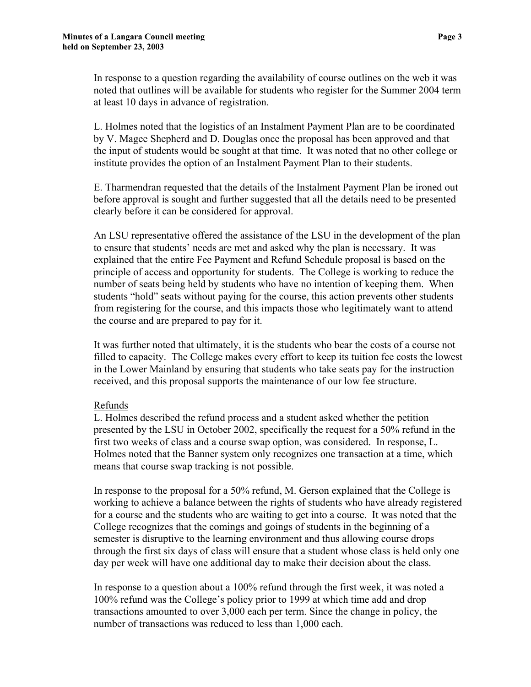In response to a question regarding the availability of course outlines on the web it was noted that outlines will be available for students who register for the Summer 2004 term at least 10 days in advance of registration.

L. Holmes noted that the logistics of an Instalment Payment Plan are to be coordinated by V. Magee Shepherd and D. Douglas once the proposal has been approved and that the input of students would be sought at that time. It was noted that no other college or institute provides the option of an Instalment Payment Plan to their students.

E. Tharmendran requested that the details of the Instalment Payment Plan be ironed out before approval is sought and further suggested that all the details need to be presented clearly before it can be considered for approval.

An LSU representative offered the assistance of the LSU in the development of the plan to ensure that students' needs are met and asked why the plan is necessary. It was explained that the entire Fee Payment and Refund Schedule proposal is based on the principle of access and opportunity for students. The College is working to reduce the number of seats being held by students who have no intention of keeping them. When students "hold" seats without paying for the course, this action prevents other students from registering for the course, and this impacts those who legitimately want to attend the course and are prepared to pay for it.

It was further noted that ultimately, it is the students who bear the costs of a course not filled to capacity. The College makes every effort to keep its tuition fee costs the lowest in the Lower Mainland by ensuring that students who take seats pay for the instruction received, and this proposal supports the maintenance of our low fee structure.

#### Refunds

L. Holmes described the refund process and a student asked whether the petition presented by the LSU in October 2002, specifically the request for a 50% refund in the first two weeks of class and a course swap option, was considered. In response, L. Holmes noted that the Banner system only recognizes one transaction at a time, which means that course swap tracking is not possible.

In response to the proposal for a 50% refund, M. Gerson explained that the College is working to achieve a balance between the rights of students who have already registered for a course and the students who are waiting to get into a course. It was noted that the College recognizes that the comings and goings of students in the beginning of a semester is disruptive to the learning environment and thus allowing course drops through the first six days of class will ensure that a student whose class is held only one day per week will have one additional day to make their decision about the class.

In response to a question about a 100% refund through the first week, it was noted a 100% refund was the College's policy prior to 1999 at which time add and drop transactions amounted to over 3,000 each per term. Since the change in policy, the number of transactions was reduced to less than 1,000 each.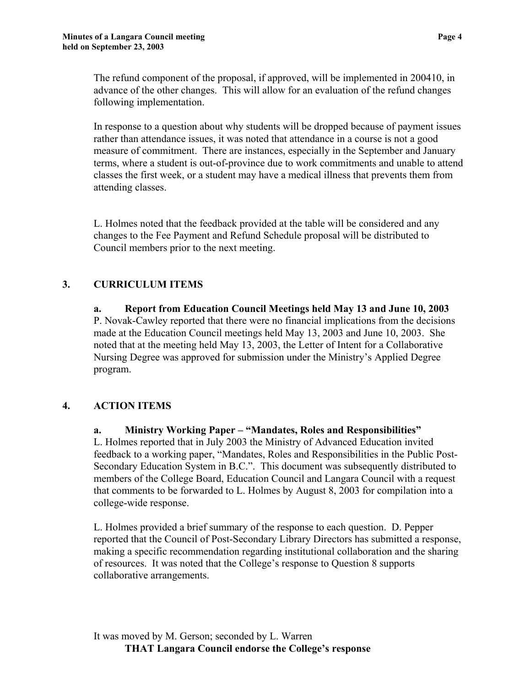The refund component of the proposal, if approved, will be implemented in 200410, in advance of the other changes. This will allow for an evaluation of the refund changes following implementation.

In response to a question about why students will be dropped because of payment issues rather than attendance issues, it was noted that attendance in a course is not a good measure of commitment. There are instances, especially in the September and January terms, where a student is out-of-province due to work commitments and unable to attend classes the first week, or a student may have a medical illness that prevents them from attending classes.

L. Holmes noted that the feedback provided at the table will be considered and any changes to the Fee Payment and Refund Schedule proposal will be distributed to Council members prior to the next meeting.

# **3. CURRICULUM ITEMS**

**a. Report from Education Council Meetings held May 13 and June 10, 2003**  P. Novak-Cawley reported that there were no financial implications from the decisions made at the Education Council meetings held May 13, 2003 and June 10, 2003. She noted that at the meeting held May 13, 2003, the Letter of Intent for a Collaborative Nursing Degree was approved for submission under the Ministry's Applied Degree program.

## **4. ACTION ITEMS**

## **a. Ministry Working Paper – "Mandates, Roles and Responsibilities"**

L. Holmes reported that in July 2003 the Ministry of Advanced Education invited feedback to a working paper, "Mandates, Roles and Responsibilities in the Public Post-Secondary Education System in B.C.". This document was subsequently distributed to members of the College Board, Education Council and Langara Council with a request that comments to be forwarded to L. Holmes by August 8, 2003 for compilation into a college-wide response.

L. Holmes provided a brief summary of the response to each question. D. Pepper reported that the Council of Post-Secondary Library Directors has submitted a response, making a specific recommendation regarding institutional collaboration and the sharing of resources. It was noted that the College's response to Question 8 supports collaborative arrangements.